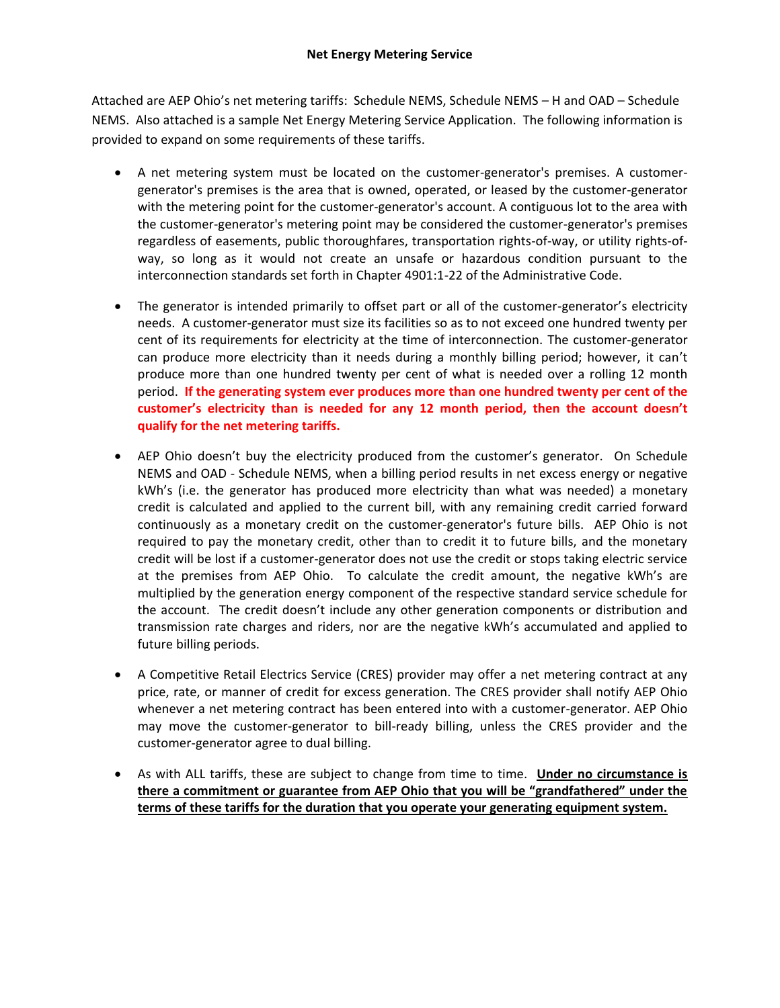Attached are AEP Ohio's net metering tariffs: Schedule NEMS, Schedule NEMS – H and OAD – Schedule NEMS. Also attached is a sample Net Energy Metering Service Application. The following information is provided to expand on some requirements of these tariffs.

- A net metering system must be located on the customer-generator's premises. A customergenerator's premises is the area that is owned, operated, or leased by the customer-generator with the metering point for the customer-generator's account. A contiguous lot to the area with the customer-generator's metering point may be considered the customer-generator's premises regardless of easements, public thoroughfares, transportation rights-of-way, or utility rights-ofway, so long as it would not create an unsafe or hazardous condition pursuant to the interconnection standards set forth in Chapter 4901:1-22 of the Administrative Code.
- The generator is intended primarily to offset part or all of the customer-generator's electricity needs. A customer-generator must size its facilities so as to not exceed one hundred twenty per cent of its requirements for electricity at the time of interconnection. The customer-generator can produce more electricity than it needs during a monthly billing period; however, it can't produce more than one hundred twenty per cent of what is needed over a rolling 12 month period. **If the generating system ever produces more than one hundred twenty per cent of the customer's electricity than is needed for any 12 month period, then the account doesn't qualify for the net metering tariffs.**
- AEP Ohio doesn't buy the electricity produced from the customer's generator. On Schedule NEMS and OAD - Schedule NEMS, when a billing period results in net excess energy or negative kWh's (i.e. the generator has produced more electricity than what was needed) a monetary credit is calculated and applied to the current bill, with any remaining credit carried forward continuously as a monetary credit on the customer-generator's future bills. AEP Ohio is not required to pay the monetary credit, other than to credit it to future bills, and the monetary credit will be lost if a customer-generator does not use the credit or stops taking electric service at the premises from AEP Ohio. To calculate the credit amount, the negative kWh's are multiplied by the generation energy component of the respective standard service schedule for the account. The credit doesn't include any other generation components or distribution and transmission rate charges and riders, nor are the negative kWh's accumulated and applied to future billing periods.
- A Competitive Retail Electrics Service (CRES) provider may offer a net metering contract at any price, rate, or manner of credit for excess generation. The CRES provider shall notify AEP Ohio whenever a net metering contract has been entered into with a customer-generator. AEP Ohio may move the customer-generator to bill-ready billing, unless the CRES provider and the customer-generator agree to dual billing.
- As with ALL tariffs, these are subject to change from time to time. **Under no circumstance is there a commitment or guarantee from AEP Ohio that you will be "grandfathered" under the terms of these tariffs for the duration that you operate your generating equipment system.**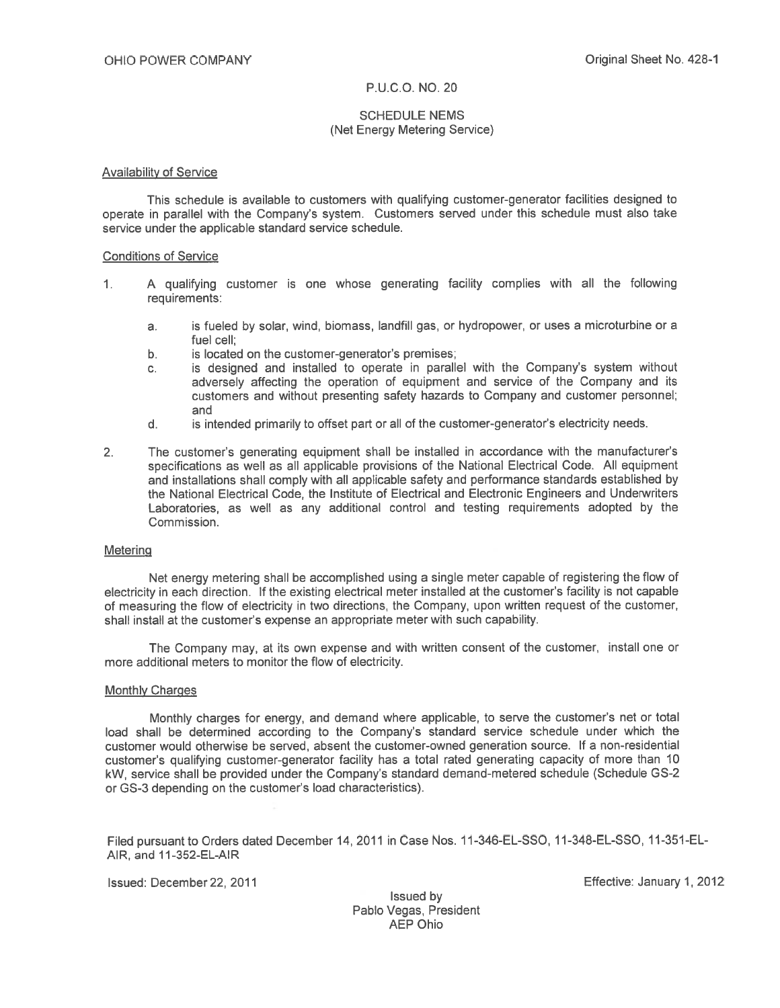Effective: January 1, 2012

# P.U.C.O. NO. 20

# **SCHEDULE NEMS** (Net Energy Metering Service)

# **Availability of Service**

This schedule is available to customers with qualifying customer-generator facilities designed to operate in parallel with the Company's system. Customers served under this schedule must also take service under the applicable standard service schedule.

## **Conditions of Service**

- A qualifying customer is one whose generating facility complies with all the following  $1.$ requirements:
	- is fueled by solar, wind, biomass, landfill gas, or hydropower, or uses a microturbine or a  $a.$ fuel cell:
	- is located on the customer-generator's premises;  $b<sub>1</sub>$
	- is designed and installed to operate in parallel with the Company's system without  $\mathbf{C}$ . adversely affecting the operation of equipment and service of the Company and its customers and without presenting safety hazards to Company and customer personnel; and
	- $d$ . is intended primarily to offset part or all of the customer-generator's electricity needs.
- The customer's generating equipment shall be installed in accordance with the manufacturer's  $2.$ specifications as well as all applicable provisions of the National Electrical Code. All equipment and installations shall comply with all applicable safety and performance standards established by the National Electrical Code, the Institute of Electrical and Electronic Engineers and Underwriters Laboratories, as well as any additional control and testing requirements adopted by the Commission.

## **Metering**

Net energy metering shall be accomplished using a single meter capable of registering the flow of electricity in each direction. If the existing electrical meter installed at the customer's facility is not capable of measuring the flow of electricity in two directions, the Company, upon written request of the customer. shall install at the customer's expense an appropriate meter with such capability.

The Company may, at its own expense and with written consent of the customer, install one or more additional meters to monitor the flow of electricity.

# **Monthly Charges**

Monthly charges for energy, and demand where applicable, to serve the customer's net or total load shall be determined according to the Company's standard service schedule under which the customer would otherwise be served, absent the customer-owned generation source. If a non-residential customer's qualifying customer-generator facility has a total rated generating capacity of more than 10 kW, service shall be provided under the Company's standard demand-metered schedule (Schedule GS-2 or GS-3 depending on the customer's load characteristics).

Filed pursuant to Orders dated December 14, 2011 in Case Nos. 11-346-EL-SSO, 11-348-EL-SSO, 11-351-EL-AIR, and 11-352-EL-AIR

Issued: December 22, 2011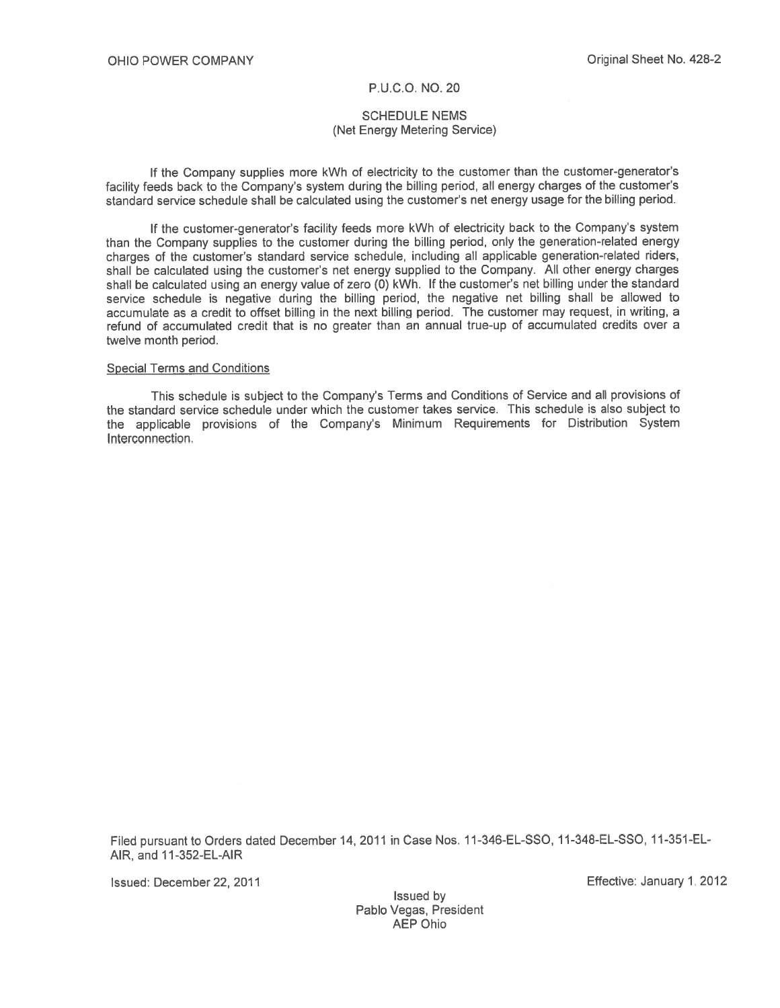# **SCHEDULE NEMS** (Net Energy Metering Service)

If the Company supplies more kWh of electricity to the customer than the customer-generator's facility feeds back to the Company's system during the billing period, all energy charges of the customer's standard service schedule shall be calculated using the customer's net energy usage for the billing period.

If the customer-generator's facility feeds more kWh of electricity back to the Company's system than the Company supplies to the customer during the billing period, only the generation-related energy charges of the customer's standard service schedule, including all applicable generation-related riders, shall be calculated using the customer's net energy supplied to the Company. All other energy charges shall be calculated using an energy value of zero (0) kWh. If the customer's net billing under the standard service schedule is negative during the billing period, the negative net billing shall be allowed to accumulate as a credit to offset billing in the next billing period. The customer may request, in writing, a refund of accumulated credit that is no greater than an annual true-up of accumulated credits over a twelve month period.

#### **Special Terms and Conditions**

This schedule is subject to the Company's Terms and Conditions of Service and all provisions of the standard service schedule under which the customer takes service. This schedule is also subject to the applicable provisions of the Company's Minimum Requirements for Distribution System Interconnection.

Filed pursuant to Orders dated December 14, 2011 in Case Nos. 11-346-EL-SSO, 11-348-EL-SSO, 11-351-EL-AIR, and 11-352-EL-AIR

Issued: December 22, 2011

Effective: January 1, 2012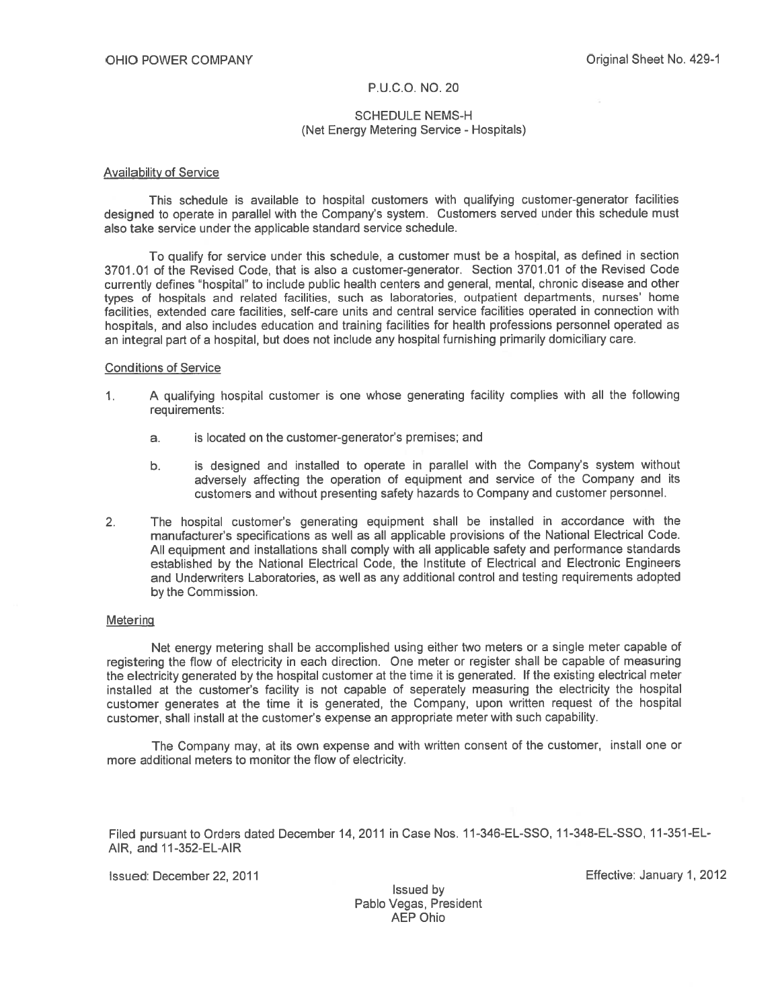# **SCHEDULE NEMS-H** (Net Energy Metering Service - Hospitals)

## **Availability of Service**

This schedule is available to hospital customers with qualifying customer-generator facilities designed to operate in parallel with the Company's system. Customers served under this schedule must also take service under the applicable standard service schedule.

To qualify for service under this schedule, a customer must be a hospital, as defined in section 3701.01 of the Revised Code, that is also a customer-generator. Section 3701.01 of the Revised Code currently defines "hospital" to include public health centers and general, mental, chronic disease and other types of hospitals and related facilities, such as laboratories, outpatient departments, nurses' home facilities, extended care facilities, self-care units and central service facilities operated in connection with hospitals, and also includes education and training facilities for health professions personnel operated as an integral part of a hospital, but does not include any hospital furnishing primarily domiciliary care.

#### **Conditions of Service**

- $1<sub>1</sub>$ A qualifying hospital customer is one whose generating facility complies with all the following requirements:
	- is located on the customer-generator's premises; and  $a<sub>1</sub>$
	- is designed and installed to operate in parallel with the Company's system without b. adversely affecting the operation of equipment and service of the Company and its customers and without presenting safety hazards to Company and customer personnel.
- The hospital customer's generating equipment shall be installed in accordance with the  $2.$ manufacturer's specifications as well as all applicable provisions of the National Electrical Code. All equipment and installations shall comply with all applicable safety and performance standards established by the National Electrical Code, the Institute of Electrical and Electronic Engineers and Underwriters Laboratories, as well as any additional control and testing requirements adopted by the Commission.

## Metering

Net energy metering shall be accomplished using either two meters or a single meter capable of registering the flow of electricity in each direction. One meter or register shall be capable of measuring the electricity generated by the hospital customer at the time it is generated. If the existing electrical meter installed at the customer's facility is not capable of seperately measuring the electricity the hospital customer generates at the time it is generated, the Company, upon written request of the hospital customer, shall install at the customer's expense an appropriate meter with such capability.

The Company may, at its own expense and with written consent of the customer, install one or more additional meters to monitor the flow of electricity.

Filed pursuant to Orders dated December 14, 2011 in Case Nos. 11-346-EL-SSO, 11-348-EL-SSO, 11-351-EL-AIR, and 11-352-EL-AIR

Issued: December 22, 2011

Effective: January 1, 2012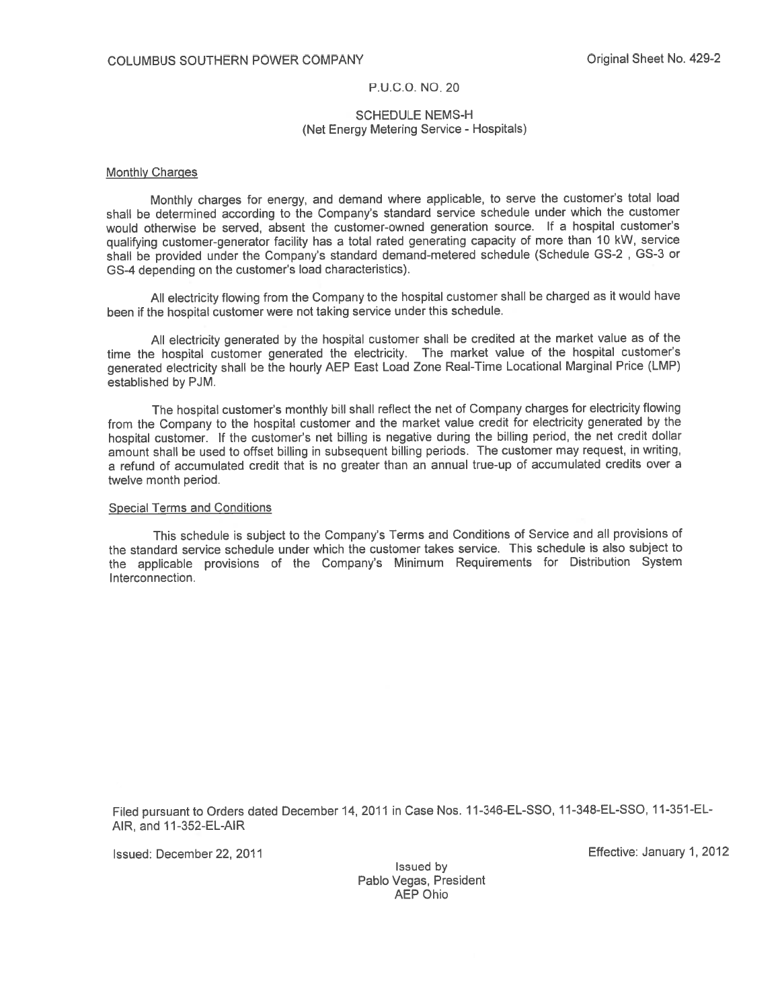# PUCO NO. 20

# **SCHEDULE NEMS-H** (Net Energy Metering Service - Hospitals)

#### **Monthly Charges**

Monthly charges for energy, and demand where applicable, to serve the customer's total load shall be determined according to the Company's standard service schedule under which the customer would otherwise be served, absent the customer-owned generation source. If a hospital customer's qualifying customer-generator facility has a total rated generating capacity of more than 10 kW, service shall be provided under the Company's standard demand-metered schedule (Schedule GS-2, GS-3 or GS-4 depending on the customer's load characteristics).

All electricity flowing from the Company to the hospital customer shall be charged as it would have been if the hospital customer were not taking service under this schedule.

All electricity generated by the hospital customer shall be credited at the market value as of the time the hospital customer generated the electricity. The market value of the hospital customer's generated electricity shall be the hourly AEP East Load Zone Real-Time Locational Marginal Price (LMP) established by PJM.

The hospital customer's monthly bill shall reflect the net of Company charges for electricity flowing from the Company to the hospital customer and the market value credit for electricity generated by the hospital customer. If the customer's net billing is negative during the billing period, the net credit dollar amount shall be used to offset billing in subsequent billing periods. The customer may request, in writing, a refund of accumulated credit that is no greater than an annual true-up of accumulated credits over a twelve month period.

## **Special Terms and Conditions**

This schedule is subject to the Company's Terms and Conditions of Service and all provisions of the standard service schedule under which the customer takes service. This schedule is also subject to the applicable provisions of the Company's Minimum Requirements for Distribution System Interconnection.

Filed pursuant to Orders dated December 14, 2011 in Case Nos. 11-346-EL-SSO, 11-348-EL-SSO, 11-351-EL-AIR, and 11-352-EL-AIR

Issued: December 22, 2011

Effective: January 1, 2012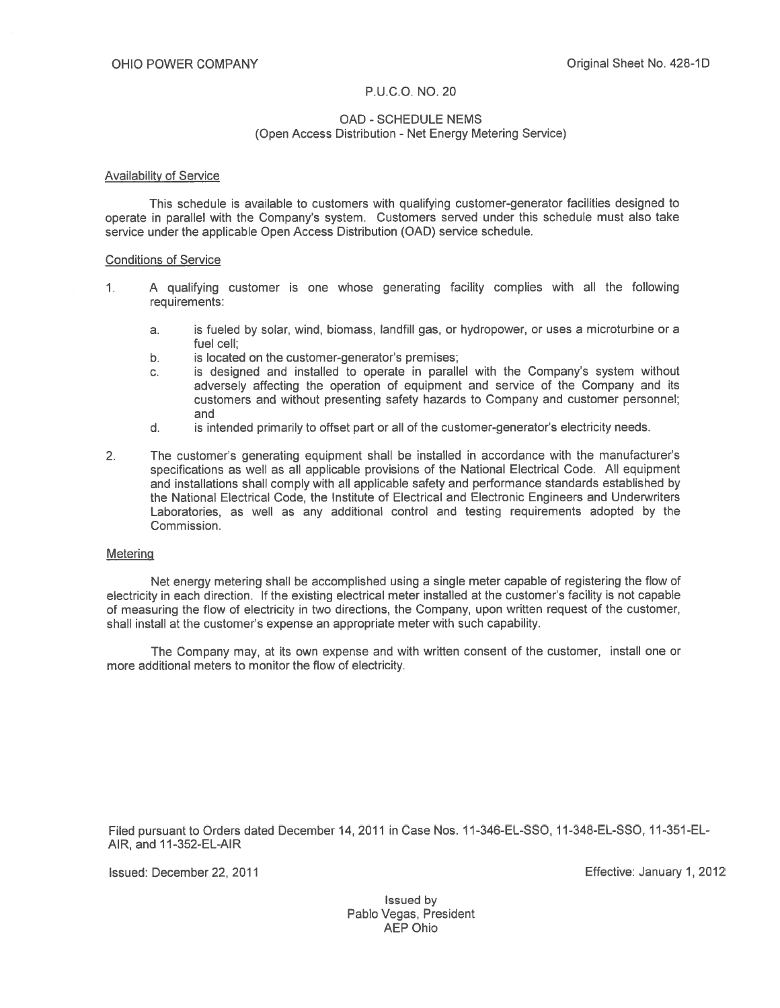# **OAD - SCHEDULE NEMS** (Open Access Distribution - Net Energy Metering Service)

## **Availability of Service**

This schedule is available to customers with qualifying customer-generator facilities designed to operate in parallel with the Company's system. Customers served under this schedule must also take service under the applicable Open Access Distribution (OAD) service schedule.

# **Conditions of Service**

- A qualifying customer is one whose generating facility complies with all the following  $1<sub>1</sub>$ requirements:
	- is fueled by solar, wind, biomass, landfill gas, or hydropower, or uses a microturbine or a a. fuel cell:
	- $b.$ is located on the customer-generator's premises;
	- is designed and installed to operate in parallel with the Company's system without c. adversely affecting the operation of equipment and service of the Company and its customers and without presenting safety hazards to Company and customer personnel; and
	- is intended primarily to offset part or all of the customer-generator's electricity needs.  $d_{\cdot}$
- $2.$ The customer's generating equipment shall be installed in accordance with the manufacturer's specifications as well as all applicable provisions of the National Electrical Code. All equipment and installations shall comply with all applicable safety and performance standards established by the National Electrical Code, the Institute of Electrical and Electronic Engineers and Underwriters Laboratories, as well as any additional control and testing requirements adopted by the Commission.

#### Metering

Net energy metering shall be accomplished using a single meter capable of registering the flow of electricity in each direction. If the existing electrical meter installed at the customer's facility is not capable of measuring the flow of electricity in two directions, the Company, upon written request of the customer, shall install at the customer's expense an appropriate meter with such capability.

The Company may, at its own expense and with written consent of the customer, install one or more additional meters to monitor the flow of electricity.

Filed pursuant to Orders dated December 14, 2011 in Case Nos. 11-346-EL-SSO, 11-348-EL-SSO, 11-351-EL-AIR, and 11-352-EL-AIR

Issued: December 22, 2011

Effective: January 1, 2012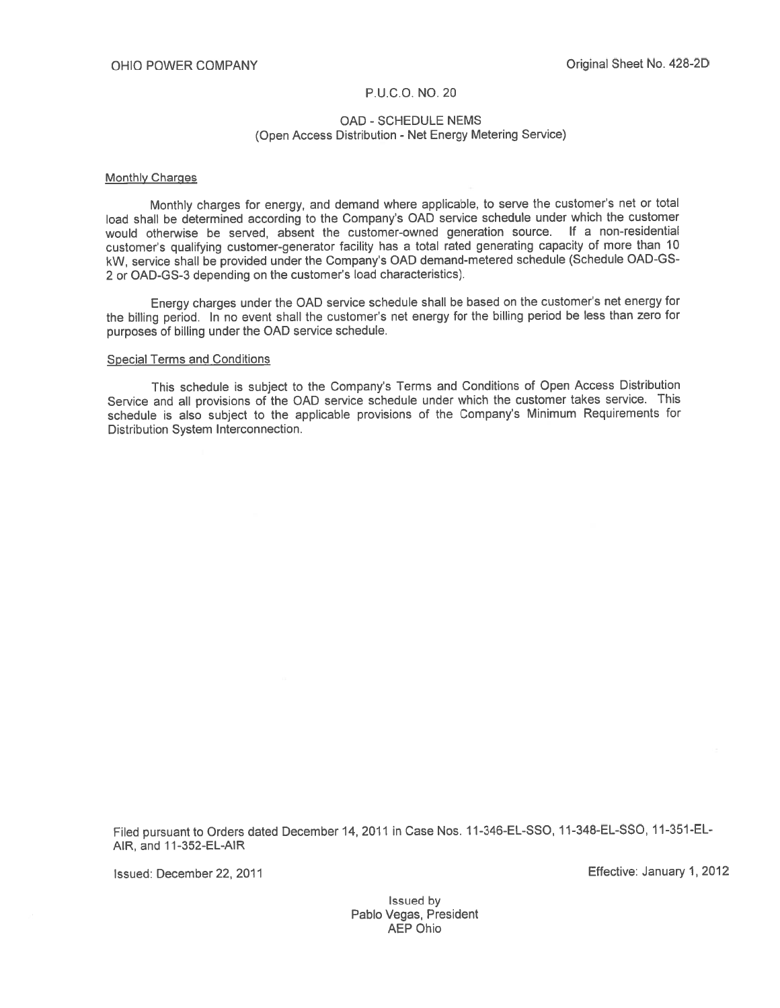# **OAD - SCHEDULE NEMS** (Open Access Distribution - Net Energy Metering Service)

#### **Monthly Charges**

Monthly charges for energy, and demand where applicable, to serve the customer's net or total load shall be determined according to the Company's OAD service schedule under which the customer would otherwise be served, absent the customer-owned generation source. If a non-residential customer's qualifying customer-generator facility has a total rated generating capacity of more than 10 kW, service shall be provided under the Company's OAD demand-metered schedule (Schedule OAD-GS-2 or OAD-GS-3 depending on the customer's load characteristics).

Energy charges under the OAD service schedule shall be based on the customer's net energy for the billing period. In no event shall the customer's net energy for the billing period be less than zero for purposes of billing under the OAD service schedule.

## **Special Terms and Conditions**

This schedule is subject to the Company's Terms and Conditions of Open Access Distribution Service and all provisions of the OAD service schedule under which the customer takes service. This schedule is also subject to the applicable provisions of the Company's Minimum Requirements for Distribution System Interconnection.

Filed pursuant to Orders dated December 14, 2011 in Case Nos. 11-346-EL-SSO, 11-348-EL-SSO, 11-351-EL-AIR, and 11-352-EL-AIR

Issued: December 22, 2011

Effective: January 1, 2012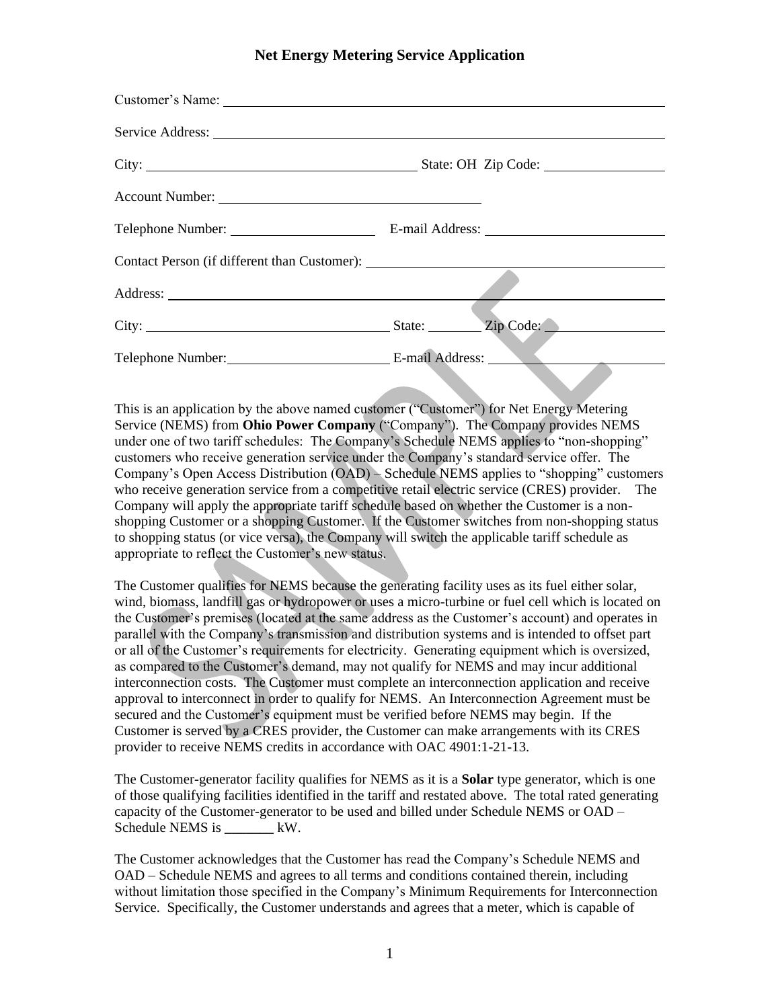# **Net Energy Metering Service Application**

| Service Address: New York 1988    |  |
|-----------------------------------|--|
|                                   |  |
|                                   |  |
|                                   |  |
|                                   |  |
|                                   |  |
|                                   |  |
| Telephone Number: E-mail Address: |  |

This is an application by the above named customer ("Customer") for Net Energy Metering Service (NEMS) from **Ohio Power Company** ("Company"). The Company provides NEMS under one of two tariff schedules: The Company's Schedule NEMS applies to "non-shopping" customers who receive generation service under the Company's standard service offer. The Company's Open Access Distribution (OAD) – Schedule NEMS applies to "shopping" customers who receive generation service from a competitive retail electric service (CRES) provider. The Company will apply the appropriate tariff schedule based on whether the Customer is a nonshopping Customer or a shopping Customer. If the Customer switches from non-shopping status to shopping status (or vice versa), the Company will switch the applicable tariff schedule as appropriate to reflect the Customer's new status.

The Customer qualifies for NEMS because the generating facility uses as its fuel either solar, wind, biomass, landfill gas or hydropower or uses a micro-turbine or fuel cell which is located on the Customer's premises (located at the same address as the Customer's account) and operates in parallel with the Company's transmission and distribution systems and is intended to offset part or all of the Customer's requirements for electricity. Generating equipment which is oversized, as compared to the Customer's demand, may not qualify for NEMS and may incur additional interconnection costs. The Customer must complete an interconnection application and receive approval to interconnect in order to qualify for NEMS. An Interconnection Agreement must be secured and the Customer's equipment must be verified before NEMS may begin. If the Customer is served by a CRES provider, the Customer can make arrangements with its CRES provider to receive NEMS credits in accordance with OAC 4901:1-21-13.

The Customer-generator facility qualifies for NEMS as it is a **Solar** type generator, which is one of those qualifying facilities identified in the tariff and restated above. The total rated generating capacity of the Customer-generator to be used and billed under Schedule NEMS or OAD – Schedule NEMS is **\_\_\_\_\_\_\_** kW.

The Customer acknowledges that the Customer has read the Company's Schedule NEMS and OAD – Schedule NEMS and agrees to all terms and conditions contained therein, including without limitation those specified in the Company's Minimum Requirements for Interconnection Service. Specifically, the Customer understands and agrees that a meter, which is capable of